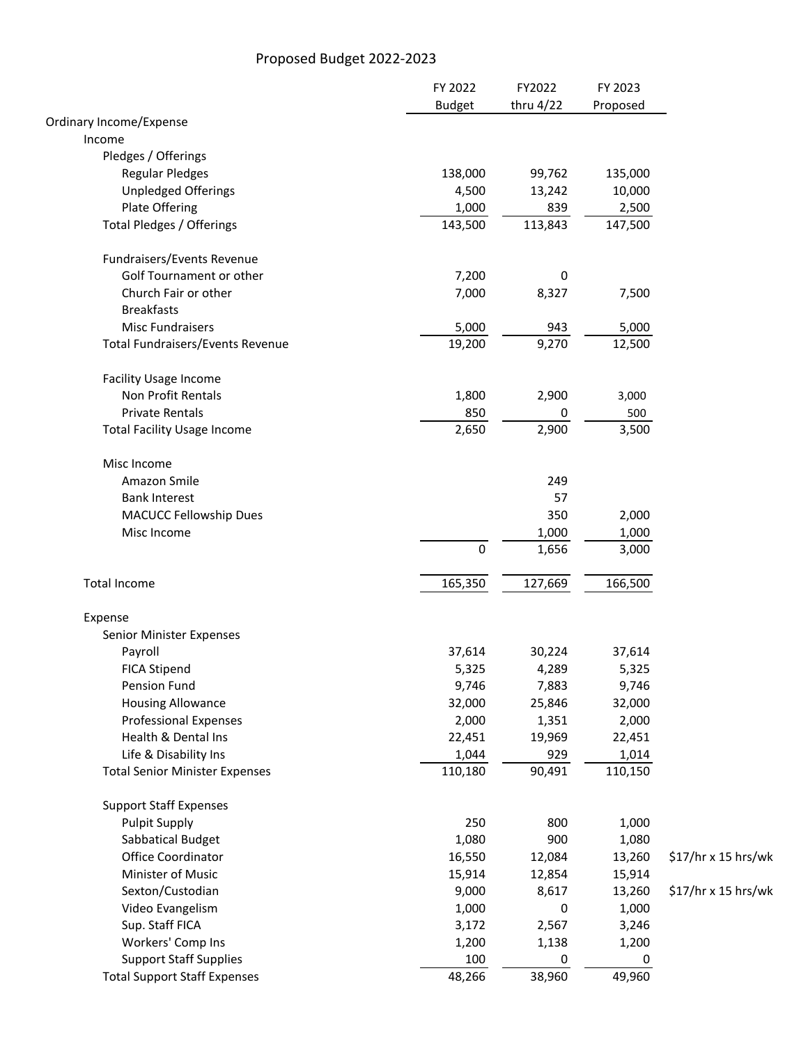## Proposed Budget 2022-2023

|                                       | FY 2022       | FY2022    | FY 2023  |                     |
|---------------------------------------|---------------|-----------|----------|---------------------|
|                                       | <b>Budget</b> | thru 4/22 | Proposed |                     |
| Ordinary Income/Expense               |               |           |          |                     |
| Income                                |               |           |          |                     |
| Pledges / Offerings                   |               |           |          |                     |
| <b>Regular Pledges</b>                | 138,000       | 99,762    | 135,000  |                     |
| <b>Unpledged Offerings</b>            | 4,500         | 13,242    | 10,000   |                     |
| Plate Offering                        | 1,000         | 839       | 2,500    |                     |
| Total Pledges / Offerings             | 143,500       | 113,843   | 147,500  |                     |
| Fundraisers/Events Revenue            |               |           |          |                     |
| Golf Tournament or other              | 7,200         | 0         |          |                     |
| Church Fair or other                  | 7,000         | 8,327     | 7,500    |                     |
| <b>Breakfasts</b>                     |               |           |          |                     |
| <b>Misc Fundraisers</b>               | 5,000         | 943       | 5,000    |                     |
| Total Fundraisers/Events Revenue      | 19,200        | 9,270     | 12,500   |                     |
| <b>Facility Usage Income</b>          |               |           |          |                     |
| Non Profit Rentals                    | 1,800         | 2,900     | 3,000    |                     |
| <b>Private Rentals</b>                | 850           | 0         | 500      |                     |
| <b>Total Facility Usage Income</b>    | 2,650         | 2,900     | 3,500    |                     |
| Misc Income                           |               |           |          |                     |
| Amazon Smile                          |               | 249       |          |                     |
| <b>Bank Interest</b>                  |               | 57        |          |                     |
| <b>MACUCC Fellowship Dues</b>         |               | 350       | 2,000    |                     |
| Misc Income                           |               | 1,000     | 1,000    |                     |
|                                       | $\pmb{0}$     | 1,656     | 3,000    |                     |
| <b>Total Income</b>                   | 165,350       | 127,669   | 166,500  |                     |
| Expense                               |               |           |          |                     |
| Senior Minister Expenses              |               |           |          |                     |
| Payroll                               | 37,614        | 30,224    | 37,614   |                     |
| <b>FICA Stipend</b>                   | 5,325         | 4,289     | 5,325    |                     |
| Pension Fund                          | 9,746         | 7,883     | 9,746    |                     |
| <b>Housing Allowance</b>              | 32,000        | 25,846    | 32,000   |                     |
| <b>Professional Expenses</b>          | 2,000         | 1,351     | 2,000    |                     |
| Health & Dental Ins                   | 22,451        | 19,969    | 22,451   |                     |
| Life & Disability Ins                 | 1,044         | 929       | 1,014    |                     |
| <b>Total Senior Minister Expenses</b> | 110,180       | 90,491    | 110,150  |                     |
| <b>Support Staff Expenses</b>         |               |           |          |                     |
| <b>Pulpit Supply</b>                  | 250           | 800       | 1,000    |                     |
| Sabbatical Budget                     | 1,080         | 900       | 1,080    |                     |
| Office Coordinator                    | 16,550        | 12,084    | 13,260   | \$17/hr x 15 hrs/wk |
| Minister of Music                     | 15,914        | 12,854    | 15,914   |                     |
| Sexton/Custodian                      | 9,000         | 8,617     | 13,260   | \$17/hr x 15 hrs/wk |
| Video Evangelism                      | 1,000         | 0         | 1,000    |                     |
| Sup. Staff FICA                       | 3,172         | 2,567     | 3,246    |                     |
| Workers' Comp Ins                     | 1,200         | 1,138     | 1,200    |                     |
| <b>Support Staff Supplies</b>         | 100           | 0         | 0        |                     |
| <b>Total Support Staff Expenses</b>   | 48,266        | 38,960    | 49,960   |                     |
|                                       |               |           |          |                     |